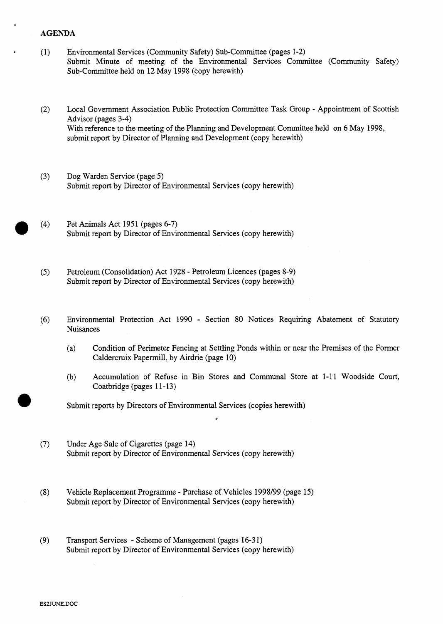## **AGENDA**

**I** 

- Environmental Services (Community Safety) Sub-Committee (pages 1-2)  $(1)$ [Submit Minute of meeting of the Environmental Services Committee \(Community Safety\)](HTTP://mars.northlan.gov.uk/xpedio/groups/public/documents/report/043563.pdf)  Sub-Committee held on 12 May 1998 (copy herewith)
- Local Government Association Public Protection Committee Task Group Appointment of Scottish  $(2)$ Advisor (pages **3-4)**  [With reference to the meeting of the Planning and Development Committee held on 6 May 1998,](HTTP://mars.northlan.gov.uk/xpedio/groups/public/documents/report/043565.pdf)  submit report by Director of Planning and Development (copy herewith)
- $(3)$ Dog Warden Service (page 5) [Submit report by Director of Environmental Services \(copy herewith\)](HTTP://mars.northlan.gov.uk/xpedio/groups/public/documents/report/043566.pdf)
- $(4)$ Pet Animals Act 1951 (pages *6-7)*  [Submit report by Director of Environmental Services \(copy herewith\)](HTTP://mars.northlan.gov.uk/xpedio/groups/public/documents/report/043567.pdf)
- $(5)$ Petroleum (Consolidation) Act 1928 - Petroleum Licences (pages 8-9) [Submit report by Director of Environmental Services \(copy herewith\)](HTTP://mars.northlan.gov.uk/xpedio/groups/public/documents/report/043568.pdf)
- $(6)$ Environmental Protection Act 1990 - Section 80 Notices Requiring Abatement of Statutory Nuisances

*I* 

- [\(a\) Condition of Perimeter Fencing at Settling Ponds within or near the Premises of the Former](HTTP://mars.northlan.gov.uk/xpedio/groups/public/documents/report/043569.pdf)  Caldercruix Papermill, by Airdrie (page 10)
- [\(b\) Accumulation of Refuse in Bin Stores](HTTP://mars.northlan.gov.uk/xpedio/groups/public/documents/report/043570.pdf) **and** Communal Store at 1-11 Woodside Court, Coatbridge (pages 11-13)

Submit reports by Directors of Environmental Services (copies herewith)

- $(7)$ Under Age Sale of Cigarettes (page **14)**  [Submit report by Director of Environmental Services \(copy herewith\)](HTTP://mars.northlan.gov.uk/xpedio/groups/public/documents/report/043571.pdf)
- Vehicle Replacement Programme Purchase of Vehicles 1998/99 (page 15)  $(8)$ [Submit report by Director of Environmental Services \(copy herewith\)](HTTP://mars.northlan.gov.uk/xpedio/groups/public/documents/report/043572.pdf)
- $(9)$ Transport Services - Scheme of Management (pages **16-31)**  [Submit report by Director of Environmental Services \(copy herewith\)](HTTP://mars.northlan.gov.uk/xpedio/groups/public/documents/report/043574.pdf)